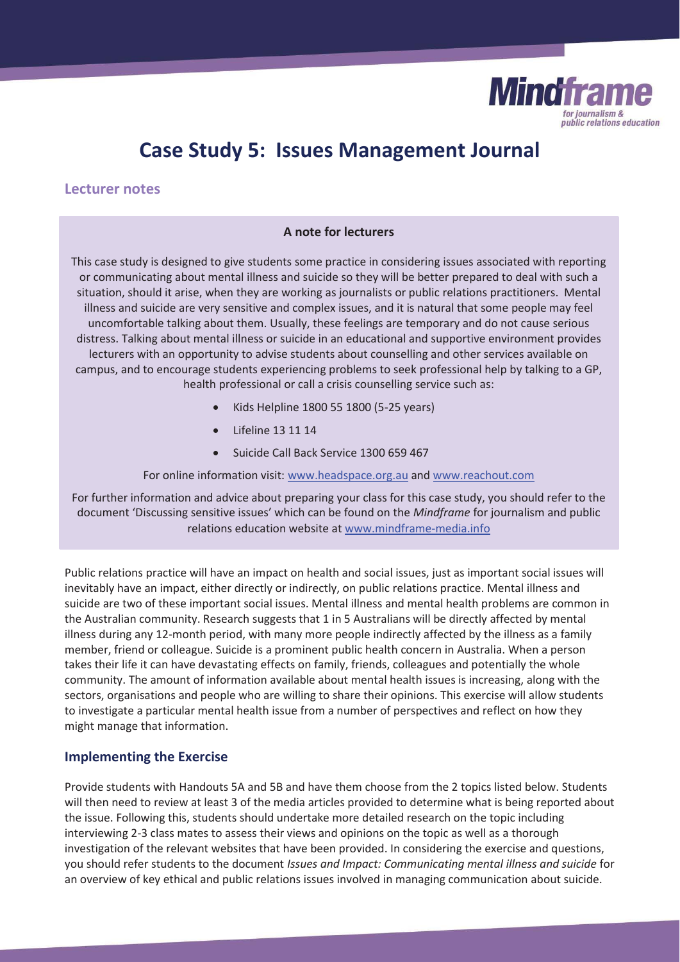

# **Case Study 5: Issues Management Journal**

# **Lecturer notes**

## **A note for lecturers**

This case study is designed to give students some practice in considering issues associated with reporting or communicating about mental illness and suicide so they will be better prepared to deal with such a situation, should it arise, when they are working as journalists or public relations practitioners. Mental illness and suicide are very sensitive and complex issues, and it is natural that some people may feel uncomfortable talking about them. Usually, these feelings are temporary and do not cause serious distress. Talking about mental illness or suicide in an educational and supportive environment provides lecturers with an opportunity to advise students about counselling and other services available on campus, and to encourage students experiencing problems to seek professional help by talking to a GP, health professional or call a crisis counselling service such as:

- x Kids Helpline 1800 55 1800 (5-25 years)
- $\bullet$  Lifeline 13 11 14
- Suicide Call Back Service 1300 659 467

For online information visit: www.headspace.org.au and www.reachout.com

For further information and advice about preparing your class for this case study, you should refer to the document 'Discussing sensitive issues' which can be found on the *Mindframe* for journalism and public relations education website at www.mindframe-media.info

Public relations practice will have an impact on health and social issues, just as important social issues will inevitably have an impact, either directly or indirectly, on public relations practice. Mental illness and suicide are two of these important social issues. Mental illness and mental health problems are common in the Australian community. Research suggests that 1 in 5 Australians will be directly affected by mental illness during any 12-month period, with many more people indirectly affected by the illness as a family member, friend or colleague. Suicide is a prominent public health concern in Australia. When a person takes their life it can have devastating effects on family, friends, colleagues and potentially the whole community. The amount of information available about mental health issues is increasing, along with the sectors, organisations and people who are willing to share their opinions. This exercise will allow students to investigate a particular mental health issue from a number of perspectives and reflect on how they might manage that information.

# **Implementing the Exercise**

Provide students with Handouts 5A and 5B and have them choose from the 2 topics listed below. Students will then need to review at least 3 of the media articles provided to determine what is being reported about the issue. Following this, students should undertake more detailed research on the topic including interviewing 2-3 class mates to assess their views and opinions on the topic as well as a thorough investigation of the relevant websites that have been provided. In considering the exercise and questions, you should refer students to the document *Issues and Impact: Communicating mental illness and suicide* for an overview of key ethical and public relations issues involved in managing communication about suicide.